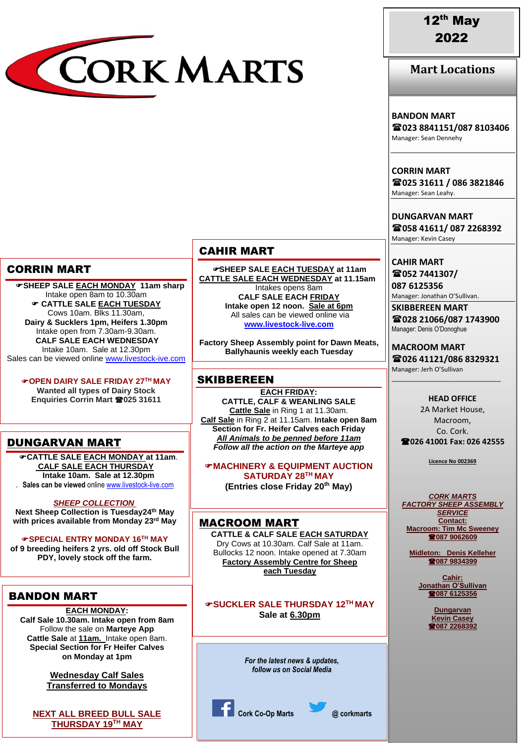

# 12th May 2022

**Mart Locations**

#### **BANDON MART**

**023 8841151/087 8103406** Manager: Sean Dennehy

**CORRIN MART 025 31611 / 086 3821846** Manager: Sean Leahy.

**DUNGARVAN MART 058 41611/ 087 2268392** Manager: Kevin Casey

**CAHIR MART 052 7441307/**

**087 6125356** Manager: Jonathan O'Sullivan.

**SKIBBEREEN MART 028 21066/087 1743900** Manager: Denis O'Donoghue

**MACROOM MART 026 41121/086 8329321** Manager: Jerh O'Sullivan

\_\_\_\_\_\_\_\_\_\_\_\_\_\_\_\_\_\_\_\_\_\_\_\_\_\_\_\_\_\_\_

**HEAD OFFICE** 2A Market House, Macroom, Co. Cork. **026 41001 Fax: 026 42555**

**Licence No 002369**

*CORK MARTS FACTORY SHEEP ASSEMBLY SERVICE* **Contact: Macroom: Tim Mc Sweeney 087 9062609**

**Midleton: Denis Kelleher 087 9834399**

> **Cahir: Jonathan O'Sullivan 087 6125356**

> > **Dungarvan Kevin Casey 087 2268392**

### CAHIR MART

**SHEEP SALE EACH TUESDAY at 11am CATTLE SALE EACH WEDNESDAY at 11.15am** Intakes opens 8am **CALF SALE EACH FRIDAY Intake open 12 noon. Sale at 6pm** All sales can be viewed online via **[www.livestock-live.com](http://www.livestock-live.com/)**

**Factory Sheep Assembly point for Dawn Meats, Ballyhaunis weekly each Tuesday**

### **SKIBBEREEN**

**EACH FRIDAY: CATTLE, CALF & WEANLING SALE Cattle Sale** in Ring 1 at 11.30am. **Calf Sale** in Ring 2 at 11.15am. **Intake open 8am Section for Fr. Heifer Calves each Friday** *All Animals to be penned before 11am Follow all the action on the Marteye app*

**MACHINERY & EQUIPMENT AUCTION SATURDAY 28TH MAY (Entries close Friday 20th May)**

### MACROOM MART

**CATTLE & CALF SALE EACH SATURDAY** Dry Cows at 10.30am. Calf Sale at 11am. Bullocks 12 noon. Intake opened at 7.30am **Factory Assembly Centre for Sheep each Tuesday**

#### **SUCKLER SALE THURSDAY 12TH MAY Sale at 6.30pm**

*For the latest news & updates, follow us on Social Media*

**Cork Co-Op Marts @ corkmarts**

# CORRIN MART

 **SHEEP SALE EACH MONDAY 11am sharp** Intake open 8am to 10.30am **CATTLE SALE EACH TUESDAY** Cows 10am. Blks 11.30am, **Dairy & Sucklers 1pm, Heifers 1.30pm** Intake open from 7.30am-9.30am. **CALF SALE EACH WEDNESDAY** Intake 10am. Sale at 12.30pm Sales can be viewed online [www.livestock-ive.com](http://www.livestock-ive.com/)

**OPEN DAIRY SALE FRIDAY 27TH MAY Wanted all types of Dairy Stock**

**Enquiries Corrin Mart 025 31611**

## DUNGARVAN MART

**CATTLE SALE EACH MONDAY at 11am**. **CALF SALE EACH THURSDAY**  IN *JANUARY* 2022 **Intake 10am. Sale at 12.30pm** . **Sales can be viewed** online [www.livestock-live.com](http://www.livestock-live.com/)

#### *SHEEP COLLECTION*

**Next Sheep Collection is Tuesday24th May with prices available from Monday 23rd May**

**SPECIAL ENTRY MONDAY 16TH MAY of 9 breeding heifers 2 yrs. old off Stock Bull PDY, lovely stock off the farm.**

## BANDON MART

#### **EACH MONDAY:**

**Calf Sale 10.30am. Intake open from 8am** Follow the sale on **Marteye App Cattle Sale** at **11am.** Intake open 8am. **Special Section for Fr Heifer Calves on Monday at 1pm**

> **Wednesday Calf Sales Transferred to Mondays**

**NEXT ALL BREED BULL SALE THURSDAY 19TH MAY**